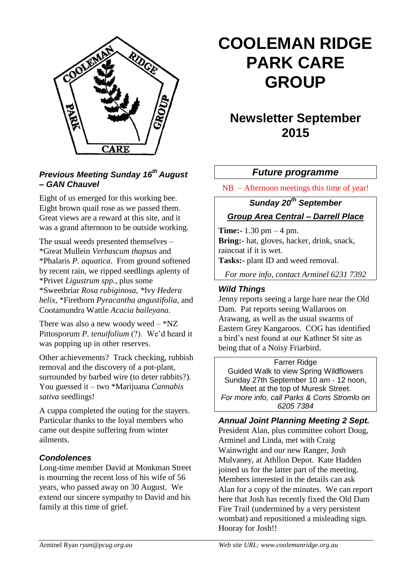

#### *Previous Meeting Sunday 16th August – GAN Chauvel*

Eight of us emerged for this working bee. Eight brown quail rose as we passed them. Great views are a reward at this site, and it was a grand afternoon to be outside working.

The usual weeds presented themselves – \*Great Mullein *Verbascum thapsus* and \*Phalaris *P. aquatica*. From ground softened by recent rain, we ripped seedlings aplenty of \*Privet *Ligustrum spp.*, plus some \*Sweetbriar *Rosa rubiginosa*, *\**Ivy *Hedera helix*, \*Firethorn *Pyracantha angustifolia*, and Cootamundra Wattle *Acacia baileyana*.

There was also a new woody weed  $-$  \*NZ Pittosporum *P. tenuifolium* (?). We'd heard it was popping up in other reserves.

Other achievements? Track checking, rubbish removal and the discovery of a pot-plant, surrounded by barbed wire (to deter rabbits?). You guessed it – two \*Marijuana *Cannabis sativa* seedlings!

A cuppa completed the outing for the stayers. Particular thanks to the loyal members who came out despite suffering from winter ailments.

#### *Condolences*

Long-time member David at Monkman Street is mourning the recent loss of his wife of 56 years, who passed away on 30 August. We extend our sincere sympathy to David and his family at this time of grief.

# **COOLEMAN RIDGE PARK CARE GROUP**

## **Newsletter September 2015**

#### *Future programme*

NB – Afternoon meetings this time of year!

### *Sunday 20th September*

#### *Group Area Central – Darrell Place*

**Time:-** 1.30 pm – 4 pm. Bring:- hat, gloves, hacker, drink, snack, raincoat if it is wet. **Tasks:-** plant ID and weed removal.

*For more info, contact Arminel 6231 7392*

#### *Wild Things*

Jenny reports seeing a large hare near the Old Dam. Pat reports seeing Wallaroos on Arawang, as well as the usual swarms of Eastern Grey Kangaroos. COG has identified a bird's nest found at our Kathner St site as being that of a Noisy Friarbird.

Farrer Ridge Guided Walk to view Spring Wildflowers Sunday 27th September 10 am - 12 noon, Meet at the top of Muresk Street. *For more info, call Parks & Cons Stromlo on 6205 7384*

#### *Annual Joint Planning Meeting 2 Sept.*

President Alan, plus committee cohort Doug, Arminel and Linda, met with Craig Wainwright and our new Ranger, Josh Mulvaney, at Athllon Depot. Kate Hadden joined us for the latter part of the meeting. Members interested in the details can ask Alan for a copy of the minutes. We can report here that Josh has recently fixed the Old Dam Fire Trail (undermined by a very persistent wombat) and repositioned a misleading sign. Hooray for Josh!!